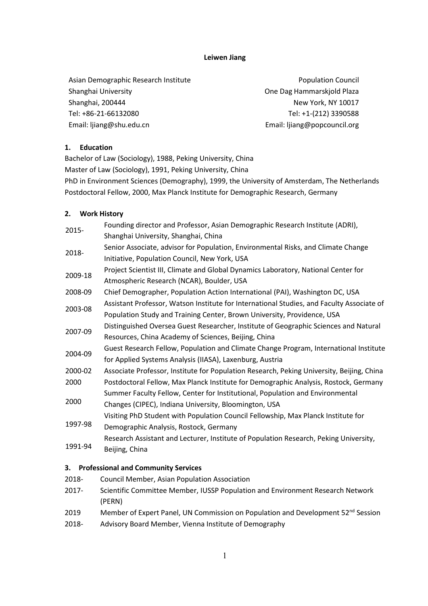## **Leiwen Jiang**

| Asian Demographic Research Institute | <b>Population Council</b>    |
|--------------------------------------|------------------------------|
| Shanghai University                  | One Dag Hammarskjold Plaza   |
| Shanghai, 200444                     | New York, NY 10017           |
| Tel: +86-21-66132080                 | Tel: +1-(212) 3390588        |
| Email: lijang@shu.edu.cn             | Email: ljiang@popcouncil.org |

## **1. Education**

Bachelor of Law (Sociology), 1988, Peking University, China Master of Law (Sociology), 1991, Peking University, China PhD in Environment Sciences (Demography), 1999, the University of Amsterdam, The Netherlands Postdoctoral Fellow, 2000, Max Planck Institute for Demographic Research, Germany

## **2. Work History**

2015- Founding director and Professor, Asian Demographic Research Institute (ADRI), Shanghai University, Shanghai, China 2018- Senior Associate, advisor for Population, Environmental Risks, and Climate Change Initiative, Population Council, New York, USA 2009-18 Project Scientist III, Climate and Global Dynamics Laboratory, National Center for Atmospheric Research (NCAR), Boulder, USA 2008-09 Chief Demographer, Population Action International (PAI), Washington DC, USA 2003-08 Assistant Professor, Watson Institute for International Studies, and Faculty Associate of Population Study and Training Center, Brown University, Providence, USA 2007-09 Distinguished Oversea Guest Researcher, Institute of Geographic Sciences and Natural Resources, China Academy of Sciences, Beijing, China 2004-09 Guest Research Fellow, Population and Climate Change Program, International Institute for Applied Systems Analysis (IIASA), Laxenburg, Austria 2000-02 Associate Professor, Institute for Population Research, Peking University, Beijing, China 2000 Postdoctoral Fellow, Max Planck Institute for Demographic Analysis, Rostock, Germany 2000 Summer Faculty Fellow, Center for Institutional, Population and Environmental Changes (CIPEC), Indiana University, Bloomington, USA 1997-98 Visiting PhD Student with Population Council Fellowship, Max Planck Institute for Demographic Analysis, Rostock, Germany 1991-94 Research Assistant and Lecturer, Institute of Population Research, Peking University, Beijing, China

# **3. Professional and Community Services**

- 2018- Council Member, Asian Population Association
- 2017- Scientific Committee Member, IUSSP Population and Environment Research Network (PERN)
- 2019 Member of Expert Panel, UN Commission on Population and Development  $52<sup>nd</sup>$  Session
- 2018- Advisory Board Member, Vienna Institute of Demography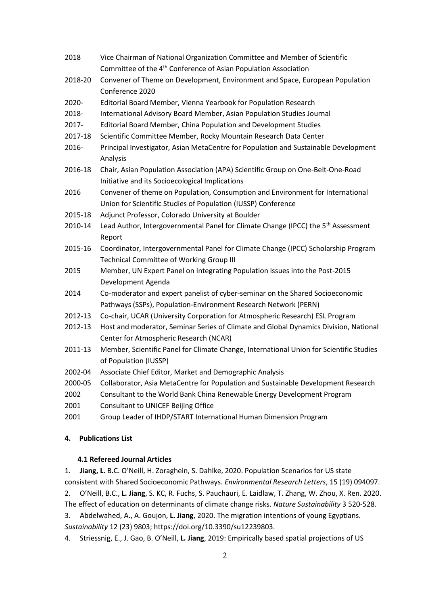| 2018    | Vice Chairman of National Organization Committee and Member of Scientific                     |
|---------|-----------------------------------------------------------------------------------------------|
|         | Committee of the 4 <sup>th</sup> Conference of Asian Population Association                   |
| 2018-20 | Convener of Theme on Development, Environment and Space, European Population                  |
|         | Conference 2020                                                                               |
| 2020-   | Editorial Board Member, Vienna Yearbook for Population Research                               |
| 2018-   | International Advisory Board Member, Asian Population Studies Journal                         |
| 2017-   | Editorial Board Member, China Population and Development Studies                              |
| 2017-18 | Scientific Committee Member, Rocky Mountain Research Data Center                              |
| 2016-   | Principal Investigator, Asian MetaCentre for Population and Sustainable Development           |
|         | Analysis                                                                                      |
| 2016-18 | Chair, Asian Population Association (APA) Scientific Group on One-Belt-One-Road               |
|         | Initiative and its Socioecological Implications                                               |
| 2016    | Convener of theme on Population, Consumption and Environment for International                |
|         | Union for Scientific Studies of Population (IUSSP) Conference                                 |
| 2015-18 | Adjunct Professor, Colorado University at Boulder                                             |
| 2010-14 | Lead Author, Intergovernmental Panel for Climate Change (IPCC) the 5 <sup>th</sup> Assessment |
|         | Report                                                                                        |
| 2015-16 | Coordinator, Intergovernmental Panel for Climate Change (IPCC) Scholarship Program            |
|         | <b>Technical Committee of Working Group III</b>                                               |
| 2015    | Member, UN Expert Panel on Integrating Population Issues into the Post-2015                   |
|         | Development Agenda                                                                            |
| 2014    | Co-moderator and expert panelist of cyber-seminar on the Shared Socioeconomic                 |
|         | Pathways (SSPs), Population-Environment Research Network (PERN)                               |
| 2012-13 | Co-chair, UCAR (University Corporation for Atmospheric Research) ESL Program                  |
| 2012-13 | Host and moderator, Seminar Series of Climate and Global Dynamics Division, National          |
|         | Center for Atmospheric Research (NCAR)                                                        |
| 2011-13 | Member, Scientific Panel for Climate Change, International Union for Scientific Studies       |
|         | of Population (IUSSP)                                                                         |
| 2002-04 | Associate Chief Editor, Market and Demographic Analysis                                       |
| 2000-05 | Collaborator, Asia MetaCentre for Population and Sustainable Development Research             |
| 2002    | Consultant to the World Bank China Renewable Energy Development Program                       |
| 2001    | Consultant to UNICEF Beijing Office                                                           |
| 2001    | Group Leader of IHDP/START International Human Dimension Program                              |

## **4. Publications List**

## **4.1 Refereed Journal Articles**

1. **Jiang, L**. B.C. O'Neill, H. Zoraghein, S. Dahlke, 2020. Population Scenarios for US state consistent with Shared Socioeconomic Pathways. *Environmental Research Letters*, 15 (19) 094097.

2. O'Neill, B.C., **L. Jiang**, S. KC, R. Fuchs, S. Pauchauri, E. Laidlaw, T. Zhang, W. Zhou, X. Ren. 2020.

The effect of education on determinants of climate change risks. *Nature Sustainability* 3 520-528.

3. Abdelwahed, A., A. Goujon, **L. Jiang**, 2020. The migration intentions of young Egyptians. *Sustainability* 12 (23) 9803; https://doi.org/10.3390/su12239803.

4. Striessnig, E., J. Gao, B. O'Neill, **L. Jiang**, 2019: Empirically based spatial projections of US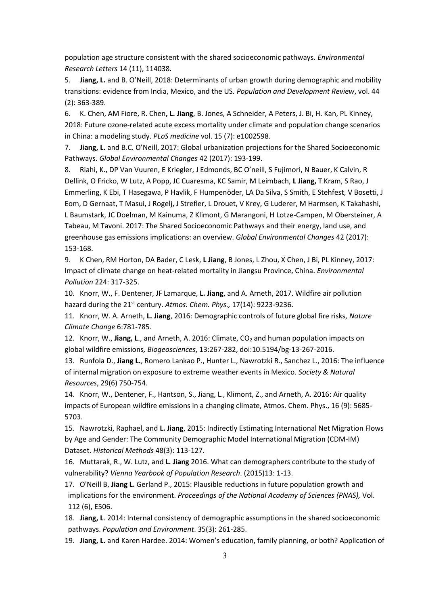population age structure consistent with the shared socioeconomic pathways. *Environmental Research Letters* 14 (11), 114038.

5. **Jiang, L.** and B. O'Neill, 2018: Determinants of urban growth during demographic and mobility transitions: evidence from India, Mexico, and the US. *Population and Development Review*, vol. 44 (2): 363-389.

6. K. Chen, AM Fiore, R. Chen**, L. Jiang**, B. Jones, A Schneider, A Peters, J. Bi, H. Kan, PL Kinney, 2018: Future ozone-related acute excess mortality under climate and population change scenarios in China: a modeling study. *PLoS medicine* vol. 15 (7): e1002598.

7. **Jiang, L.** and B.C. O'Neill, 2017: Global urbanization projections for the Shared Socioeconomic Pathways. *Global Environmental Changes* 42 (2017): 193-199.

8. Riahi, K., DP Van Vuuren, E Kriegler, J Edmonds, BC O'neill, S Fujimori, N Bauer, K Calvin, R Dellink, O Fricko, W Lutz, A Popp, JC Cuaresma, KC Samir, M Leimbach, **L Jiang,** T Kram, S Rao, J Emmerling, K Ebi, T Hasegawa, P Havlik, F Humpenöder, LA Da Silva, S Smith, E Stehfest, V Bosetti, J Eom, D Gernaat, T Masui, J Rogelj, J Strefler, L Drouet, V Krey, G Luderer, M Harmsen, K Takahashi, L Baumstark, JC Doelman, M Kainuma, Z Klimont, G Marangoni, H Lotze-Campen, M Obersteiner, A Tabeau, M Tavoni. 2017: The Shared Socioeconomic Pathways and their energy, land use, and greenhouse gas emissions implications: an overview. *Global Environmental Changes* 42 (2017): 153-168.

9. K Chen, RM Horton, DA Bader, C Lesk, **L Jiang**, B Jones, L Zhou, X Chen, J Bi, PL Kinney, 2017: Impact of climate change on heat-related mortality in Jiangsu Province, China. *Environmental Pollution* 224: 317-325.

10. Knorr, W., F. Dentener, JF Lamarque, **L. Jiang**, and A. Arneth, 2017. Wildfire air pollution hazard during the 21st century. *Atmos. Chem. Phys.,* 17(14): 9223-9236.

11. Knorr, W. A. Arneth, **L. Jiang**, 2016: Demographic controls of future global fire risks, *Nature Climate Change* 6:781-785.

12. Knorr, W., **Jiang, L.**, and Arneth, A. 2016: Climate, CO<sub>2</sub> and human population impacts on global wildfire emissions*, Biogeosciences*, 13:267-282, doi:10.5194/bg-13-267-2016.

13. Runfola D., **Jiang L.**, Romero Lankao P., Hunter L., Nawrotzki R., Sanchez L., 2016: The influence of internal migration on exposure to extreme weather events in Mexico. *Society & Natural Resources*, 29(6) 750-754.

14. Knorr, W., Dentener, F., Hantson, S., Jiang, L., Klimont, Z., and Arneth, A. 2016: Air quality impacts of European wildfire emissions in a changing climate, Atmos. Chem. Phys., 16 (9): 5685- 5703.

15. Nawrotzki, Raphael, and **L. Jiang**, 2015: Indirectly Estimating International Net Migration Flows by Age and Gender: The Community Demographic Model International Migration (CDM-IM) Dataset. *Historical Methods* 48(3): 113-127.

16. Muttarak, R., W. Lutz, and **L. Jiang** 2016. What can demographers contribute to the study of vulnerability? *Vienna Yearbook of Population Research*. (2015)13: 1-13.

17. O'Neill B, **Jiang L.** Gerland P., 2015: Plausible reductions in future population growth and implications for the environment. *Proceedings of the National Academy of Sciences (PNAS),* Vol. 112 (6), E506.

18. **Jiang, L**. 2014: Internal consistency of demographic assumptions in the shared socioeconomic pathways. *Population and Environment*. 35(3): 261-285.

19. **Jiang, L.** and Karen Hardee. 2014: Women's education, family planning, or both? Application of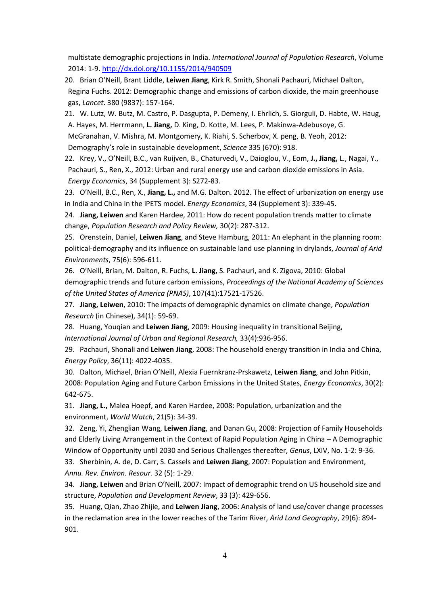multistate demographic projections in India. *International Journal of Population Research*, Volume 2014: 1-9.<http://dx.doi.org/10.1155/2014/940509>

20. Brian O'Neill, Brant Liddle, **Leiwen Jiang**, Kirk R. Smith, Shonali Pachauri, Michael Dalton, Regina Fuchs. 2012: Demographic change and emissions of carbon dioxide, the main greenhouse gas, *Lancet*. 380 (9837): 157-164.

21. W. Lutz, W. Butz, M. Castro, P. Dasgupta, P. Demeny, I. Ehrlich, S. Giorguli, D. Habte, W. Haug, A. Hayes, M. Herrmann, **L. Jiang,** D. King, D. Kotte, M. Lees, P. Makinwa-Adebusoye, G. McGranahan, V. Mishra, M. Montgomery, K. Riahi, S. Scherbov, X. peng, B. Yeoh, 2012: Demography's role in sustainable development, *Science* 335 (670): 918.

22. Krey, V., O'Neill, B.C., van Ruijven, B., Chaturvedi, V., Daioglou, V., Eom, **J., Jiang,** L., Nagai, Y., Pachauri, S., Ren, X., 2012: Urban and rural energy use and carbon dioxide emissions in Asia. *Energy Economics*, 34 (Supplement 3): S272-83.

23. O'Neill, B.C., Ren, X., **Jiang, L.,** and M.G. Dalton. 2012. The effect of urbanization on energy use in India and China in the iPETS model. *Energy Economics*, 34 (Supplement 3): 339-45.

24. **Jiang, Leiwen** and Karen Hardee, 2011: How do recent population trends matter to climate change, *Population Research and Policy Review,* 30(2): 287-312.

25. Orenstein, Daniel, **Leiwen Jiang**, and Steve Hamburg, 2011: An elephant in the planning room: political-demography and its influence on sustainable land use planning in drylands, *Journal of Arid Environments*, 75(6): 596-611.

26. O'Neill, Brian, M. Dalton, R. Fuchs, **L. Jiang**, S. Pachauri, and K. Zigova, 2010: Global demographic trends and future carbon emissions, *Proceedings of the National Academy of Sciences of the United States of America (PNAS)*, 107(41):17521-17526.

27. **Jiang, Leiwen**, 2010: The impacts of demographic dynamics on climate change, *Population Research* (in Chinese), 34(1): 59-69.

28. Huang, Youqian and **Leiwen Jiang**, 2009: Housing inequality in transitional Beijing, *International Journal of Urban and Regional Research,* 33(4):936-956.

29. Pachauri, Shonali and **Leiwen Jiang**, 2008: The household energy transition in India and China, *Energy Policy*, 36(11): 4022-4035.

30. Dalton, Michael, Brian O'Neill, Alexia Fuernkranz-Prskawetz, **Leiwen Jiang**, and John Pitkin, 2008: Population Aging and Future Carbon Emissions in the United States, *Energy Economics*, 30(2): 642-675.

31. **Jiang, L.,** Malea Hoepf, and Karen Hardee, 2008: Population, urbanization and the environment, *World Watch*, 21(5): 34-39.

32. Zeng, Yi, Zhenglian Wang, **Leiwen Jiang**, and Danan Gu, 2008: Projection of Family Households and Elderly Living Arrangement in the Context of Rapid Population Aging in China – A Demographic Window of Opportunity until 2030 and Serious Challenges thereafter, *Genus*, LXIV, No. 1-2: 9-36.

33. Sherbinin, A. de, D. Carr, S. Cassels and **Leiwen Jiang**, 2007: Population and Environment, *Annu. Rev. Environ. Resour.* 32 (5): 1-29.

34. **Jiang, Leiwen** and Brian O'Neill, 2007: Impact of demographic trend on US household size and structure, *Population and Development Review*, 33 (3): 429-656.

35. Huang, Qian, Zhao Zhijie, and **Leiwen Jiang**, 2006: Analysis of land use/cover change processes in the reclamation area in the lower reaches of the Tarim River, *Arid Land Geography*, 29(6): 894- 901.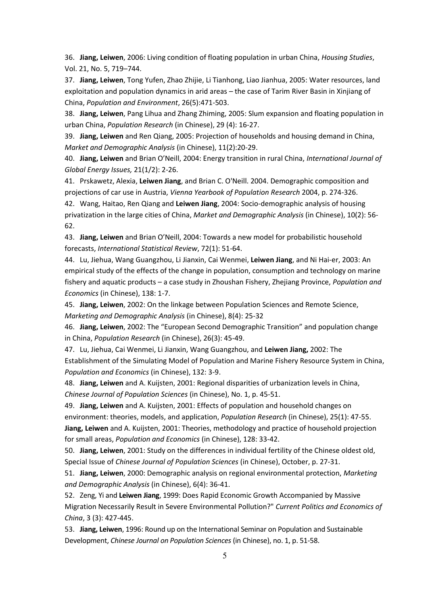36. **Jiang, Leiwen**, 2006: Living condition of floating population in urban China, *Housing Studies*, Vol. 21, No. 5, 719–744.

37. **Jiang, Leiwen**, Tong Yufen, Zhao Zhijie, Li Tianhong, Liao Jianhua, 2005: Water resources, land exploitation and population dynamics in arid areas – the case of Tarim River Basin in Xinjiang of China, *Population and Environment*, 26(5):471-503.

38. **Jiang, Leiwen**, Pang Lihua and Zhang Zhiming, 2005: Slum expansion and floating population in urban China, *Population Research* (in Chinese), 29 (4): 16-27.

39. **Jiang, Leiwen** and Ren Qiang, 2005: Projection of households and housing demand in China, *Market and Demographic Analysis* (in Chinese), 11(2):20-29.

40. **Jiang, Leiwen** and Brian O'Neill, 2004: Energy transition in rural China, *International Journal of Global Energy Issues,* 21(1/2): 2-26.

41. Prskawetz, Alexia, **Leiwen Jiang**, and Brian C. O'Neill. 2004. Demographic composition and projections of car use in Austria, *Vienna Yearbook of Population Research* 2004, p. 274-326.

42. Wang, Haitao, Ren Qiang and **Leiwen Jiang**, 2004: Socio-demographic analysis of housing privatization in the large cities of China, *Market and Demographic Analysis* (in Chinese), 10(2): 56- 62.

43. **Jiang, Leiwen** and Brian O'Neill, 2004: Towards a new model for probabilistic household forecasts, *International Statistical Review*, 72(1): 51-64.

44. Lu, Jiehua, Wang Guangzhou, Li Jianxin, Cai Wenmei, **Leiwen Jiang**, and Ni Hai-er, 2003: An empirical study of the effects of the change in population, consumption and technology on marine fishery and aquatic products – a case study in Zhoushan Fishery, Zhejiang Province, *Population and Economics* (in Chinese), 138: 1-7.

45. **Jiang, Leiwen**, 2002: On the linkage between Population Sciences and Remote Science, *Marketing and Demographic Analysis* (in Chinese), 8(4): 25-32

46. **Jiang, Leiwen**, 2002: The "European Second Demographic Transition" and population change in China, *Population Research* (in Chinese), 26(3): 45-49.

47. Lu, Jiehua, Cai Wenmei, Li Jianxin, Wang Guangzhou, and **Leiwen Jiang,** 2002: The Establishment of the Simulating Model of Population and Marine Fishery Resource System in China, *Population and Economics* (in Chinese), 132: 3-9.

48. **Jiang, Leiwen** and A. Kuijsten, 2001: Regional disparities of urbanization levels in China, *Chinese Journal of Population Sciences* (in Chinese), No. 1, p. 45-51.

49. **Jiang, Leiwen** and A. Kuijsten, 2001: Effects of population and household changes on environment: theories, models, and application, *Population Research* (in Chinese), 25(1): 47-55. **Jiang, Leiwen** and A. Kuijsten, 2001: Theories, methodology and practice of household projection for small areas, *Population and Economics* (in Chinese), 128: 33-42.

50. **Jiang, Leiwen**, 2001: Study on the differences in individual fertility of the Chinese oldest old, Special Issue of *Chinese Journal of Population Sciences* (in Chinese), October, p. 27-31.

51. **Jiang, Leiwen**, 2000: Demographic analysis on regional environmental protection, *Marketing and Demographic Analysis* (in Chinese), 6(4): 36-41.

52. Zeng, Yi and **Leiwen Jiang**, 1999: Does Rapid Economic Growth Accompanied by Massive Migration Necessarily Result in Severe Environmental Pollution?" *Current Politics and Economics of China*, 3 (3): 427-445.

53. **Jiang, Leiwen**, 1996: Round up on the International Seminar on Population and Sustainable Development, *Chinese Journal on Population Sciences* (in Chinese), no. 1, p. 51-58.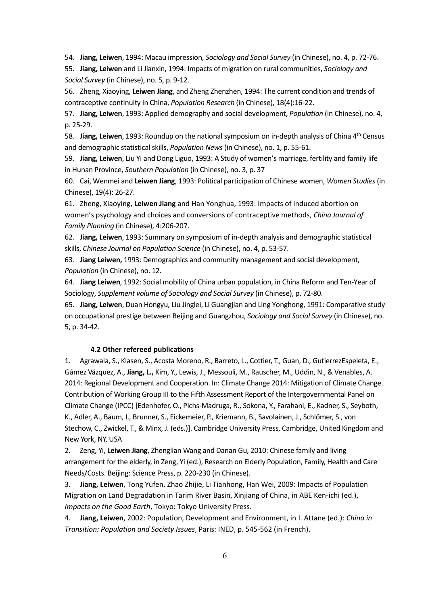54. **Jiang, Leiwen**, 1994: Macau impression, *Sociology and Social Survey* (in Chinese), no. 4, p. 72-76.

55. **Jiang, Leiwen** and Li Jianxin, 1994: Impacts of migration on rural communities, *Sociology and Social Survey* (in Chinese), no. 5, p. 9-12.

56. Zheng, Xiaoying, **Leiwen Jiang**, and Zheng Zhenzhen, 1994: The current condition and trends of contraceptive continuity in China, *Population Research* (in Chinese), 18(4):16-22.

57. **Jiang, Leiwen**, 1993: Applied demography and social development, *Population* (in Chinese), no. 4, p. 25-29.

58. **Jiang, Leiwen**, 1993: Roundup on the national symposium on in-depth analysis of China 4th Census and demographic statistical skills, *Population News* (in Chinese), no. 1, p. 55-61.

59. **Jiang, Leiwen**, Liu Yi and Dong Liguo, 1993: A Study of women's marriage, fertility and family life in Hunan Province, *Southern Population* (in Chinese), no. 3, p. 37

60. Cai, Wenmei and **Leiwen Jiang**, 1993: Political participation of Chinese women, *Women Studies* (in Chinese), 19(4): 26-27.

61. Zheng, Xiaoying, **Leiwen Jiang** and Han Yonghua, 1993: Impacts of induced abortion on women's psychology and choices and conversions of contraceptive methods, *China Journal of Family Planning* (in Chinese), 4:206-207.

62. **Jiang, Leiwen**, 1993: Summary on symposium of in-depth analysis and demographic statistical skills, *Chinese Journal on Population Science* (in Chinese), no. 4, p. 53-57.

63. **Jiang Leiwen,** 1993: Demographics and community management and social development, *Population* (in Chinese), no. 12.

64. **Jiang Leiwen**, 1992: Social mobility of China urban population, in China Reform and Ten-Year of Sociology, *Supplement volume of Sociology and Social Survey* (in Chinese), p. 72-80.

65. **Jiang, Leiwen**, Duan Hongyu, Liu Jinglei, Li Guangjian and Ling Yonghong, 1991: Comparative study on occupational prestige between Beijing and Guangzhou, *Sociology and Social Survey* (in Chinese), no. 5, p. 34-42.

#### **4.2 Other refereed publications**

1. Agrawala, S., Klasen, S., Acosta Moreno, R., Barreto, L., Cottier, T., Guan, D., GutierrezEspeleta, E., Gámez Vázquez, A., **Jiang, L.,** Kim, Y., Lewis, J., Messouli, M., Rauscher, M., Uddin, N., & Venables, A. 2014: Regional Development and Cooperation. In: Climate Change 2014: Mitigation of Climate Change. Contribution of Working Group III to the Fifth Assessment Report of the Intergovernmental Panel on Climate Change (IPCC) [Edenhofer, O., Pichs-Madruga, R., Sokona, Y., Farahani, E., Kadner, S., Seyboth, K., Adler, A., Baum, I., Brunner, S., Eickemeier, P., Kriemann, B., Savolainen, J., Schlömer, S., von Stechow, C., Zwickel, T., & Minx, J. (eds.)]. Cambridge University Press, Cambridge, United Kingdom and New York, NY, USA

2. Zeng, Yi, **Leiwen Jiang**, Zhenglian Wang and Danan Gu, 2010: Chinese family and living arrangement for the elderly, in Zeng, Yi (ed.), Research on Elderly Population, Family, Health and Care Needs/Costs. Beijing: Science Press, p. 220-230 (in Chinese).

3. **Jiang, Leiwen**, Tong Yufen, Zhao Zhijie, Li Tianhong, Han Wei, 2009: Impacts of Population Migration on Land Degradation in Tarim River Basin, Xinjiang of China, in ABE Ken-ichi (ed.), *Impacts on the Good Earth*, Tokyo: Tokyo University Press.

4. **Jiang, Leiwen**, 2002: Population, Development and Environment, in I. Attane (ed.): *China in Transition: Population and Society Issues*, Paris: INED, p. 545-562 (in French).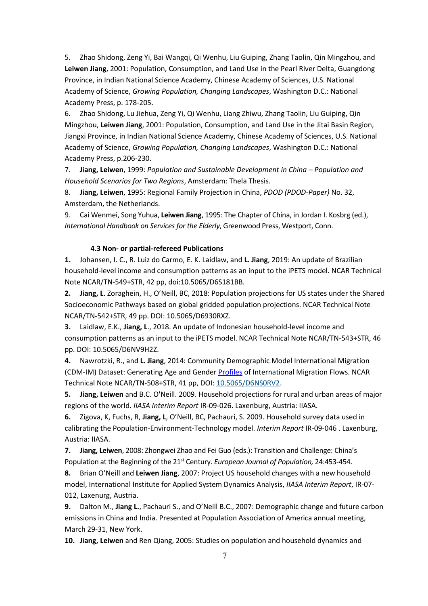5. Zhao Shidong, Zeng Yi, Bai Wangqi, Qi Wenhu, Liu Guiping, Zhang Taolin, Qin Mingzhou, and **Leiwen Jiang**, 2001: Population, Consumption, and Land Use in the Pearl River Delta, Guangdong Province, in Indian National Science Academy, Chinese Academy of Sciences, U.S. National Academy of Science, *Growing Population, Changing Landscapes*, Washington D.C.: National Academy Press, p. 178-205.

6. Zhao Shidong, Lu Jiehua, Zeng Yi, Qi Wenhu, Liang Zhiwu, Zhang Taolin, Liu Guiping, Qin Mingzhou, **Leiwen Jiang**, 2001: Population, Consumption, and Land Use in the Jitai Basin Region, Jiangxi Province, in Indian National Science Academy, Chinese Academy of Sciences, U.S. National Academy of Science, *Growing Population, Changing Landscapes*, Washington D.C.: National Academy Press, p.206-230.

7. **Jiang, Leiwen**, 1999: *Population and Sustainable Development in China – Population and Household Scenarios for Two Regions*, Amsterdam: Thela Thesis.

8. **Jiang, Leiwen**, 1995: Regional Family Projection in China, *PDOD (PDOD-Paper)* No. 32, Amsterdam, the Netherlands.

9. Cai Wenmei, Song Yuhua, **Leiwen Jiang**, 1995: The Chapter of China, in Jordan I. Kosbrg (ed.), *International Handbook on Services for the Elderly*, Greenwood Press, Westport, Conn.

#### **4.3 Non- or partial-refereed Publications**

**1.** Johansen, I. C., R. Luiz do Carmo, E. K. Laidlaw, and **L. Jiang**, 2019: An update of Brazilian household-level income and consumption patterns as an input to the iPETS model. NCAR Technical Note NCAR/TN-549+STR, 42 pp, doi:10.5065/D6S181BB.

**2. Jiang, L**. Zoraghein, H., O'Neill, BC, 2018: Population projections for US states under the Shared Socioeconomic Pathways based on global gridded population projections. NCAR Technical Note NCAR/TN-542+STR, 49 pp. DOI: 10.5065/D6930RXZ.

**3.** Laidlaw, E.K., **Jiang, L**., 2018. An update of Indonesian household-level income and consumption patterns as an input to the iPETS model. NCAR Technical Note NCAR/TN-543+STR, 46 pp. DOI: 10.5065/D6NV9H2Z.

**4.** Nawrotzki, R., and **L. Jiang**, 2014: Community Demographic Model International Migration (CDM-IM) Dataset: Generating Age and Gender [Profiles](http://opensky.library.ucar.edu/collections/TECH-NOTE-000-000-000-877) of International Migration Flows. NCAR Technical Note NCAR/TN-508+STR, 41 pp, DOI: [10.5065/D6NS0RV2.](http://dx.doi.org/10.5065/D6NS0RV2)

**5. Jiang, Leiwen** and B.C. O'Neill. 2009. Household projections for rural and urban areas of major regions of the world. *IIASA Interim Report* IR-09-026. Laxenburg, Austria: IIASA.

**6.** Zigova, K, Fuchs, R, **Jiang, L**, O'Neill, BC, Pachauri, S. 2009. Household survey data used in calibrating the Population-Environment-Technology model. *Interim Report* IR-09-046 . Laxenburg, Austria: IIASA.

**7. Jiang, Leiwen**, 2008: Zhongwei Zhao and Fei Guo (eds.): Transition and Challenge: China's Population at the Beginning of the 21st Century. *European Journal of Population,* 24:453-454*.*

**8.** Brian O'Neill and **Leiwen Jiang**, 2007: Project US household changes with a new household model, International Institute for Applied System Dynamics Analysis, *IIASA Interim Report*, IR-07- 012, Laxenurg, Austria.

**9.** Dalton M., **Jiang L.**, Pachauri S., and O'Neill B.C., 2007: Demographic change and future carbon emissions in China and India. Presented at Population Association of America annual meeting, March 29-31, New York.

**10. Jiang, Leiwen** and Ren Qiang, 2005: Studies on population and household dynamics and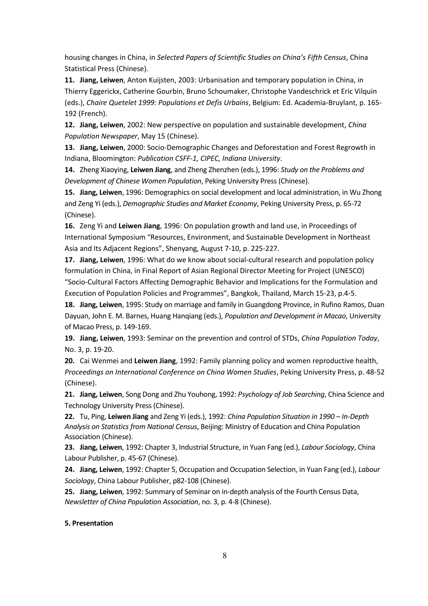housing changes in China, in *Selected Papers of Scientific Studies on China's Fifth Census*, China Statistical Press (Chinese).

**11. Jiang, Leiwen**, Anton Kuijsten, 2003: Urbanisation and temporary population in China, in Thierry Eggerickx, Catherine Gourbin, Bruno Schoumaker, Christophe Vandeschrick et Eric Vilquin (eds.), *Chaire Quetelet 1999: Populations et Defis Urbains*, Belgium: Ed. Academia-Bruylant, p. 165- 192 (French).

**12. Jiang, Leiwen**, 2002: New perspective on population and sustainable development, *China Population Newspaper*, May 15 (Chinese).

**13. Jiang, Leiwen**, 2000: Socio-Demographic Changes and Deforestation and Forest Regrowth in Indiana, Bloomington: *Publication CSFF-1, CIPEC, Indiana University*.

**14.** Zheng Xiaoying, **Leiwen Jiang**, and Zheng Zhenzhen (eds.), 1996: *Study on the Problems and Development of Chinese Women Population*, Peking University Press (Chinese).

**15. Jiang, Leiwen**, 1996: Demographics on social development and local administration, in Wu Zhong and Zeng Yi (eds.), *Demographic Studies and Market Economy*, Peking University Press, p. 65-72 (Chinese).

**16.** Zeng Yi and **Leiwen Jiang**, 1996: On population growth and land use, in Proceedings of International Symposium "Resources, Environment, and Sustainable Development in Northeast Asia and Its Adjacent Regions", Shenyang, August 7-10, p. 225-227.

**17. Jiang, Leiwen**, 1996: What do we know about social-cultural research and population policy formulation in China, in Final Report of Asian Regional Director Meeting for Project (UNESCO) "Socio-Cultural Factors Affecting Demographic Behavior and Implications for the Formulation and Execution of Population Policies and Programmes", Bangkok, Thailand, March 15-23, p.4-5.

**18. Jiang, Leiwen**, 1995: Study on marriage and family in Guangdong Province, in Rufino Ramos, Duan Dayuan, John E. M. Barnes, Huang Hanqiang (eds.), *Population and Development in Macao*, University of Macao Press, p. 149-169.

**19. Jiang, Leiwen**, 1993: Seminar on the prevention and control of STDs, *China Population Today*, No. 3, p. 19-20.

**20.** Cai Wenmei and **Leiwen Jiang**, 1992: Family planning policy and women reproductive health, *Proceedings on International Conference on China Women Studies*, Peking University Press, p. 48-52 (Chinese).

**21. Jiang, Leiwen**, Song Dong and Zhu Youhong, 1992: *Psychology of Job Searching*, China Science and Technology University Press (Chinese).

**22.** Tu, Ping, **Leiwen Jiang** and Zeng Yi (eds.), 1992: *China Population Situation in 1990 – In-Depth Analysis on Statistics from National Census*, Beijing: Ministry of Education and China Population Association (Chinese).

**23. Jiang, Leiwen**, 1992: Chapter 3, Industrial Structure, in Yuan Fang (ed.), *Labour Sociology*, China Labour Publisher, p. 45-67 (Chinese).

**24. Jiang, Leiwen**, 1992: Chapter 5, Occupation and Occupation Selection, in Yuan Fang (ed.), *Labour Sociology*, China Labour Publisher, p82-108 (Chinese).

**25. Jiang, Leiwen**, 1992: Summary of Seminar on in-depth analysis of the Fourth Census Data, *Newsletter of China Population Association*, no. 3, p. 4-8 (Chinese).

### **5. Presentation**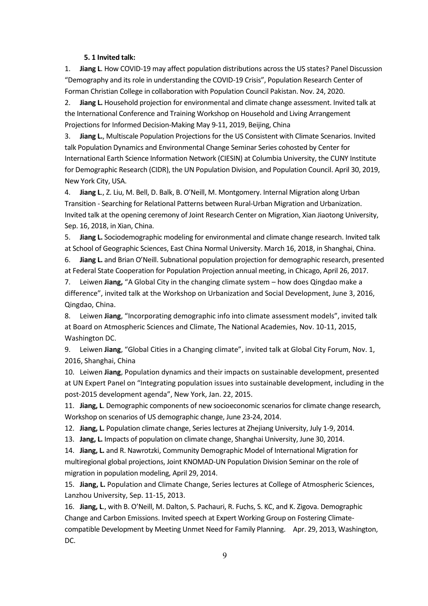#### **5. 1 Invited talk:**

1. **Jiang L**. How COVID-19 may affect population distributions across the US states? Panel Discussion "Demography and its role in understanding the COVID-19 Crisis", Population Research Center of Forman Christian College in collaboration with Population Council Pakistan. Nov. 24, 2020.

2. **Jiang L.** Household projection for environmental and climate change assessment. Invited talk at the International Conference and Training Workshop on Household and Living Arrangement Projections for Informed Decision-Making May 9-11, 2019, Beijing, China

3. **Jiang L.**, Multiscale Population Projections for the US Consistent with Climate Scenarios. Invited talk Population Dynamics and Environmental Change Seminar Series cohosted by Center for International Earth Science Information Network (CIESIN) at Columbia University, the CUNY Institute for Demographic Research (CIDR), the UN Population Division, and Population Council. April 30, 2019, New York City, USA.

4. **Jiang L**., Z. Liu, M. Bell, D. Balk, B. O'Neill, M. Montgomery. Internal Migration along Urban Transition - Searching for Relational Patterns between Rural-Urban Migration and Urbanization. Invited talk at the opening ceremony of Joint Research Center on Migration, Xian Jiaotong University, Sep. 16, 2018, in Xian, China.

5. **Jiang L.** Sociodemographic modeling for environmental and climate change research. Invited talk at School of Geographic Sciences, East China Normal University. March 16, 2018, in Shanghai, China.

6. **Jiang L.** and Brian O'Neill. Subnational population projection for demographic research, presented at Federal State Cooperation for Population Projection annual meeting, in Chicago, April 26, 2017.

7. Leiwen **Jiang,** "A Global City in the changing climate system – how does Qingdao make a difference", invited talk at the Workshop on Urbanization and Social Development, June 3, 2016, Qingdao, China.

8. Leiwen **Jiang**, "Incorporating demographic info into climate assessment models", invited talk at Board on Atmospheric Sciences and Climate, The National Academies, Nov. 10-11, 2015, Washington DC.

9. Leiwen **Jiang**, "Global Cities in a Changing climate", invited talk at Global City Forum, Nov. 1, 2016, Shanghai, China

10. Leiwen **Jiang**, Population dynamics and their impacts on sustainable development, presented at UN Expert Panel on "Integrating population issues into sustainable development, including in the post-2015 development agenda", New York, Jan. 22, 2015.

11. **Jiang, L**. Demographic components of new socioeconomic scenarios for climate change research, Workshop on scenarios of US demographic change, June 23-24, 2014.

12. **Jiang, L.** Population climate change, Series lectures at Zhejiang University, July 1-9, 2014.

13. **Jang, L.** Impacts of population on climate change, Shanghai University, June 30, 2014.

14. **Jiang, L.** and R. Nawrotzki, Community Demographic Model of International Migration for multiregional global projections, Joint KNOMAD-UN Population Division Seminar on the role of migration in population modeling, April 29, 2014.

15. **Jiang, L.** Population and Climate Change, Series lectures at College of Atmospheric Sciences, Lanzhou University, Sep. 11-15, 2013.

16. **Jiang, L**., with B. O'Neill, M. Dalton, S. Pachauri, R. Fuchs, S. KC, and K. Zigova. Demographic Change and Carbon Emissions. Invited speech at Expert Working Group on Fostering Climatecompatible Development by Meeting Unmet Need for Family Planning. Apr. 29, 2013, Washington, DC.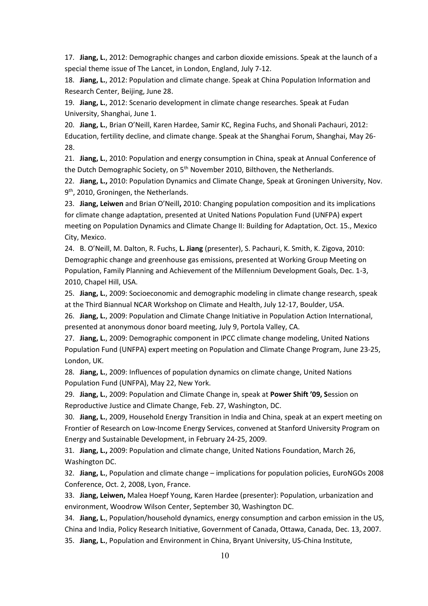17. **Jiang, L.**, 2012: Demographic changes and carbon dioxide emissions. Speak at the launch of a special theme issue of The Lancet, in London, England, July 7-12.

18. **Jiang, L.**, 2012: Population and climate change. Speak at China Population Information and Research Center, Beijing, June 28.

19. **Jiang, L.**, 2012: Scenario development in climate change researches. Speak at Fudan University, Shanghai, June 1.

20. **Jiang, L.**, Brian O'Neill, Karen Hardee, Samir KC, Regina Fuchs, and Shonali Pachauri, 2012: Education, fertility decline, and climate change. Speak at the Shanghai Forum, Shanghai, May 26- 28.

21. **Jiang, L.**, 2010: Population and energy consumption in China, speak at Annual Conference of the Dutch Demographic Society, on 5<sup>th</sup> November 2010, Bilthoven, the Netherlands.

22. **Jiang, L.,** 2010: Population Dynamics and Climate Change, Speak at Groningen University, Nov. 9<sup>th</sup>, 2010, Groningen, the Netherlands.

23. **Jiang, Leiwen** and Brian O'Neill**,** 2010: Changing population composition and its implications for climate change adaptation, presented at United Nations Population Fund (UNFPA) expert meeting on Population Dynamics and Climate Change II: Building for Adaptation, Oct. 15., Mexico City, Mexico.

24. B. O'Neill, M. Dalton, R. Fuchs, **L. Jiang** (presenter), S. Pachauri, K. Smith, K. Zigova, 2010: Demographic change and greenhouse gas emissions, presented at Working Group Meeting on Population, Family Planning and Achievement of the Millennium Development Goals, Dec. 1-3, 2010, Chapel Hill, USA.

25. **Jiang, L.**, 2009: Socioeconomic and demographic modeling in climate change research, speak at the Third Biannual NCAR Workshop on Climate and Health, July 12-17, Boulder, USA.

26. **Jiang, L.**, 2009: Population and Climate Change Initiative in Population Action International, presented at anonymous donor board meeting, July 9, Portola Valley, CA.

27. **Jiang, L.**, 2009: Demographic component in IPCC climate change modeling, United Nations Population Fund (UNFPA) expert meeting on Population and Climate Change Program, June 23-25, London, UK.

28. **Jiang, L.**, 2009: Influences of population dynamics on climate change, United Nations Population Fund (UNFPA), May 22, New York.

29. **Jiang, L.**, 2009: Population and Climate Change in, speak at **Power Shift '09, S**ession on Reproductive Justice and Climate Change, Feb. 27, Washington, DC.

30. **Jiang, L.**, 2009, Household Energy Transition in India and China, speak at an expert meeting on Frontier of Research on Low-Income Energy Services, convened at Stanford University Program on Energy and Sustainable Development, in February 24-25, 2009.

31. **Jiang, L.,** 2009: Population and climate change, United Nations Foundation, March 26, Washington DC.

32. **Jiang, L.**, Population and climate change – implications for population policies, EuroNGOs 2008 Conference, Oct. 2, 2008, Lyon, France.

33. **Jiang, Leiwen,** Malea Hoepf Young, Karen Hardee (presenter): Population, urbanization and environment, Woodrow Wilson Center, September 30, Washington DC.

34. **Jiang, L.**, Population/household dynamics, energy consumption and carbon emission in the US, China and India, Policy Research Initiative, Government of Canada, Ottawa, Canada, Dec. 13, 2007. 35. **Jiang, L.**, Population and Environment in China, Bryant University, US-China Institute,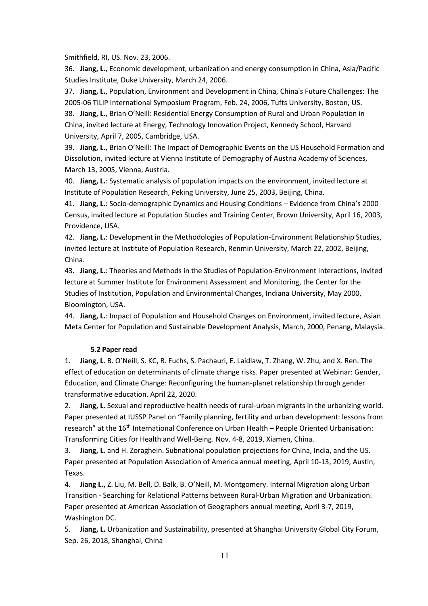Smithfield, RI, US. Nov. 23, 2006.

36. **Jiang, L.**, Economic development, urbanization and energy consumption in China, Asia/Pacific Studies Institute, Duke University, March 24, 2006.

37. **Jiang, L.**, Population, Environment and Development in China, China's Future Challenges: The 2005-06 TILIP International Symposium Program, Feb. 24, 2006, Tufts University, Boston, US. 38. **Jiang, L.**, Brian O'Neill: Residential Energy Consumption of Rural and Urban Population in China, invited lecture at Energy, Technology Innovation Project, Kennedy School, Harvard University, April 7, 2005, Cambridge, USA.

39. **Jiang, L.**, Brian O'Neill: The Impact of Demographic Events on the US Household Formation and Dissolution, invited lecture at Vienna Institute of Demography of Austria Academy of Sciences, March 13, 2005, Vienna, Austria.

40. **Jiang, L.**: Systematic analysis of population impacts on the environment, invited lecture at Institute of Population Research, Peking University, June 25, 2003, Beijing, China.

41. **Jiang, L.**: Socio-demographic Dynamics and Housing Conditions – Evidence from China's 2000 Census, invited lecture at Population Studies and Training Center, Brown University, April 16, 2003, Providence, USA.

42. **Jiang, L.**: Development in the Methodologies of Population-Environment Relationship Studies, invited lecture at Institute of Population Research, Renmin University, March 22, 2002, Beijing, China.

43. **Jiang, L.**: Theories and Methods in the Studies of Population-Environment Interactions, invited lecture at Summer Institute for Environment Assessment and Monitoring, the Center for the Studies of Institution, Population and Environmental Changes, Indiana University, May 2000, Bloomington, USA.

44. **Jiang, L.**: Impact of Population and Household Changes on Environment, invited lecture, Asian Meta Center for Population and Sustainable Development Analysis, March, 2000, Penang, Malaysia.

#### **5.2 Paper read**

1. **Jiang, L**. B. O'Neill, S. KC, R. Fuchs, S. Pachauri, E. Laidlaw, T. Zhang, W. Zhu, and X. Ren. The effect of education on determinants of climate change risks. Paper presented at Webinar: Gender, Education, and Climate Change: Reconfiguring the human-planet relationship through gender transformative education. April 22, 2020.

2. **Jiang, L**. Sexual and reproductive health needs of rural-urban migrants in the urbanizing world. Paper presented at IUSSP Panel on "Family planning, fertility and urban development: lessons from research" at the 16<sup>th</sup> International Conference on Urban Health – People Oriented Urbanisation: Transforming Cities for Health and Well-Being. Nov. 4-8, 2019, Xiamen, China.

3. **Jiang, L**. and H. Zoraghein. Subnational population projections for China, India, and the US. Paper presented at Population Association of America annual meeting, April 10-13, 2019, Austin, Texas.

4. **Jiang L.,** Z. Liu, M. Bell, D. Balk, B. O'Neill, M. Montgomery. Internal Migration along Urban Transition - Searching for Relational Patterns between Rural-Urban Migration and Urbanization. Paper presented at American Association of Geographers annual meeting, April 3-7, 2019, Washington DC.

5. **Jiang, L.** Urbanization and Sustainability, presented at Shanghai University Global City Forum, Sep. 26, 2018, Shanghai, China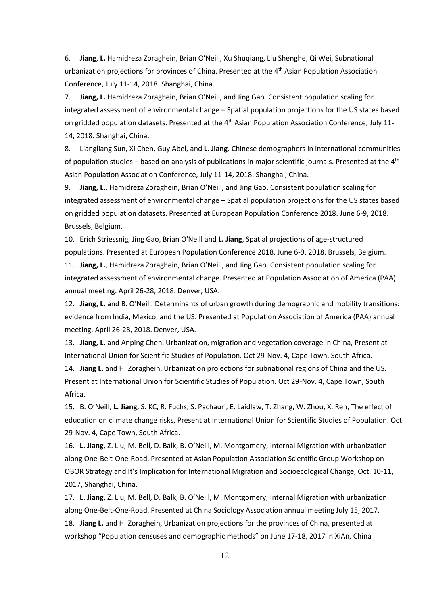6. **Jiang**, **L.** Hamidreza Zoraghein, Brian O'Neill, Xu Shuqiang, Liu Shenghe, Qi Wei, Subnational urbanization projections for provinces of China. Presented at the 4<sup>th</sup> Asian Population Association Conference, July 11-14, 2018. Shanghai, China.

7. **Jiang, L.** Hamidreza Zoraghein, Brian O'Neill, and Jing Gao. Consistent population scaling for integrated assessment of environmental change – Spatial population projections for the US states based on gridded population datasets. Presented at the 4<sup>th</sup> Asian Population Association Conference, July 11-14, 2018. Shanghai, China.

8. Liangliang Sun, Xi Chen, Guy Abel, and **L. Jiang**. Chinese demographers in international communities of population studies – based on analysis of publications in major scientific journals. Presented at the  $4<sup>th</sup>$ Asian Population Association Conference, July 11-14, 2018. Shanghai, China.

9. **Jiang, L.**, Hamidreza Zoraghein, Brian O'Neill, and Jing Gao. Consistent population scaling for integrated assessment of environmental change – Spatial population projections for the US states based on gridded population datasets. Presented at European Population Conference 2018. June 6-9, 2018. Brussels, Belgium.

10. Erich Striessnig, Jing Gao, Brian O'Neill and **L. Jiang**, Spatial projections of age-structured populations. Presented at European Population Conference 2018. June 6-9, 2018. Brussels, Belgium.

11. **Jiang, L.**, Hamidreza Zoraghein, Brian O'Neill, and Jing Gao. Consistent population scaling for integrated assessment of environmental change. Presented at Population Association of America (PAA) annual meeting. April 26-28, 2018. Denver, USA.

12. **Jiang, L.** and B. O'Neill. Determinants of urban growth during demographic and mobility transitions: evidence from India, Mexico, and the US. Presented at Population Association of America (PAA) annual meeting. April 26-28, 2018. Denver, USA.

13. **Jiang, L.** and Anping Chen. Urbanization, migration and vegetation coverage in China, Present at International Union for Scientific Studies of Population. Oct 29-Nov. 4, Cape Town, South Africa.

14. **Jiang L.** and H. Zoraghein, Urbanization projections for subnational regions of China and the US. Present at International Union for Scientific Studies of Population. Oct 29-Nov. 4, Cape Town, South Africa.

15. B. O'Neill, **L. Jiang,** S. KC, R. Fuchs, S. Pachauri, E. Laidlaw, T. Zhang, W. Zhou, X. Ren, The effect of education on climate change risks, Present at International Union for Scientific Studies of Population. Oct 29-Nov. 4, Cape Town, South Africa.

16. **L. Jiang,** Z. Liu, M. Bell, D. Balk, B. O'Neill, M. Montgomery, Internal Migration with urbanization along One-Belt-One-Road. Presented at Asian Population Association Scientific Group Workshop on OBOR Strategy and It's Implication for International Migration and Socioecological Change, Oct. 10-11, 2017, Shanghai, China.

17. **L. Jiang**, Z. Liu, M. Bell, D. Balk, B. O'Neill, M. Montgomery, Internal Migration with urbanization along One-Belt-One-Road. Presented at China Sociology Association annual meeting July 15, 2017. 18. **Jiang L.** and H. Zoraghein, Urbanization projections for the provinces of China, presented at workshop "Population censuses and demographic methods" on June 17-18, 2017 in XiAn, China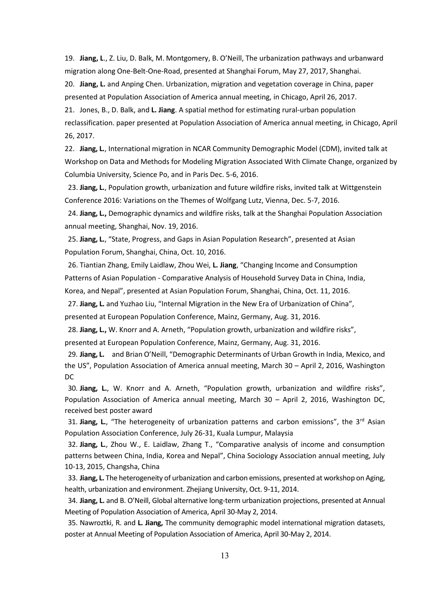19. **Jiang, L**., Z. Liu, D. Balk, M. Montgomery, B. O'Neill, The urbanization pathways and urbanward migration along One-Belt-One-Road, presented at Shanghai Forum, May 27, 2017, Shanghai. 20. **Jiang, L.** and Anping Chen. Urbanization, migration and vegetation coverage in China, paper

presented at Population Association of America annual meeting, in Chicago, April 26, 2017.

21. Jones, B., D. Balk, and **L. Jiang**. A spatial method for estimating rural-urban population reclassification. paper presented at Population Association of America annual meeting, in Chicago, April 26, 2017.

22. **Jiang, L.**, International migration in NCAR Community Demographic Model (CDM), invited talk at Workshop on Data and Methods for Modeling Migration Associated With Climate Change, organized by Columbia University, Science Po, and in Paris Dec. 5-6, 2016.

23. **Jiang, L.**, Population growth, urbanization and future wildfire risks, invited talk at Wittgenstein Conference 2016: Variations on the Themes of Wolfgang Lutz, Vienna, Dec. 5-7, 2016.

24. **Jiang, L.,** Demographic dynamics and wildfire risks, talk at the Shanghai Population Association annual meeting, Shanghai, Nov. 19, 2016.

25. **Jiang, L.**, "State, Progress, and Gaps in Asian Population Research", presented at Asian Population Forum, Shanghai, China, Oct. 10, 2016.

26. Tiantian Zhang, Emily Laidlaw, Zhou Wei, **L. Jiang**, "Changing Income and Consumption Patterns of Asian Population - Comparative Analysis of Household Survey Data in China, India, Korea, and Nepal", presented at Asian Population Forum, Shanghai, China, Oct. 11, 2016.

27. **Jiang, L.** and Yuzhao Liu, "Internal Migration in the New Era of Urbanization of China", presented at European Population Conference, Mainz, Germany, Aug. 31, 2016.

28. **Jiang, L.,** W. Knorr and A. Arneth, "Population growth, urbanization and wildfire risks", presented at European Population Conference, Mainz, Germany, Aug. 31, 2016.

29. **Jiang, L.** and Brian O'Neill, "Demographic Determinants of Urban Growth in India, Mexico, and the US", Population Association of America annual meeting, March 30 – April 2, 2016, Washington DC

30. **Jiang, L.**, W. Knorr and A. Arneth, "Population growth, urbanization and wildfire risks", Population Association of America annual meeting, March 30 – April 2, 2016, Washington DC, received best poster award

31. Jiang, L., "The heterogeneity of urbanization patterns and carbon emissions", the 3<sup>rd</sup> Asian Population Association Conference, July 26-31, Kuala Lumpur, Malaysia

32. **Jiang, L.**, Zhou W., E. Laidlaw, Zhang T., "Comparative analysis of income and consumption patterns between China, India, Korea and Nepal", China Sociology Association annual meeting, July 10-13, 2015, Changsha, China

33. **Jiang, L.** The heterogeneity of urbanization and carbon emissions, presented at workshop on Aging, health, urbanization and environment. Zhejiang University, Oct. 9-11, 2014.

34. **Jiang, L.** and B. O'Neill, Global alternative long-term urbanization projections, presented at Annual Meeting of Population Association of America, April 30-May 2, 2014.

35. Nawroztki, R. and **L. Jiang,** The community demographic model international migration datasets, poster at Annual Meeting of Population Association of America, April 30-May 2, 2014.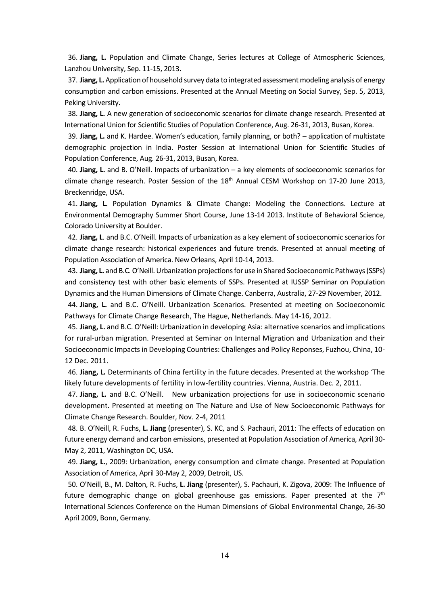36. **Jiang, L.** Population and Climate Change, Series lectures at College of Atmospheric Sciences, Lanzhou University, Sep. 11-15, 2013.

37. **Jiang, L.** Application of household survey data to integrated assessment modeling analysis of energy consumption and carbon emissions. Presented at the Annual Meeting on Social Survey, Sep. 5, 2013, Peking University.

38. **Jiang, L.** A new generation of socioeconomic scenarios for climate change research. Presented at International Union for Scientific Studies of Population Conference, Aug. 26-31, 2013, Busan, Korea.

39. **Jiang, L.** and K. Hardee. Women's education, family planning, or both? – application of multistate demographic projection in India. Poster Session at International Union for Scientific Studies of Population Conference, Aug. 26-31, 2013, Busan, Korea.

40. **Jiang, L.** and B. O'Neill. Impacts of urbanization – a key elements of socioeconomic scenarios for climate change research. Poster Session of the 18<sup>th</sup> Annual CESM Workshop on 17-20 June 2013, Breckenridge, USA.

41. **Jiang, L.** Population Dynamics & Climate Change: Modeling the Connections. Lecture at Environmental Demography Summer Short Course, June 13-14 2013. Institute of Behavioral Science, Colorado University at Boulder.

42. **Jiang, L**. and B.C. O'Neill. Impacts of urbanization as a key element of socioeconomic scenarios for climate change research: historical experiences and future trends. Presented at annual meeting of Population Association of America. New Orleans, April 10-14, 2013.

43. **Jiang, L.** and B.C. O'Neill. Urbanization projections for use in Shared Socioeconomic Pathways (SSPs) and consistency test with other basic elements of SSPs. Presented at IUSSP Seminar on Population Dynamics and the Human Dimensions of Climate Change. Canberra, Australia, 27-29 November, 2012.

44. **Jiang, L.** and B.C. O'Neill. Urbanization Scenarios. Presented at meeting on Socioeconomic Pathways for Climate Change Research, The Hague, Netherlands. May 14-16, 2012.

45. **Jiang, L.** and B.C. O'Neill: Urbanization in developing Asia: alternative scenarios and implications for rural-urban migration. Presented at Seminar on Internal Migration and Urbanization and their Socioeconomic Impacts in Developing Countries: Challenges and Policy Reponses, Fuzhou, China, 10- 12 Dec. 2011.

46. **Jiang, L.** Determinants of China fertility in the future decades. Presented at the workshop 'The likely future developments of fertility in low-fertility countries. Vienna, Austria. Dec. 2, 2011.

47. **Jiang, L.** and B.C. O'Neill. New urbanization projections for use in socioeconomic scenario development. Presented at meeting on The Nature and Use of New Socioeconomic Pathways for Climate Change Research. Boulder, Nov. 2-4, 2011

48. B. O'Neill, R. Fuchs, **L. Jiang** (presenter), S. KC, and S. Pachauri, 2011: The effects of education on future energy demand and carbon emissions, presented at Population Association of America, April 30- May 2, 2011, Washington DC, USA.

49. **Jiang, L.**, 2009: Urbanization, energy consumption and climate change. Presented at Population Association of America, April 30-May 2, 2009, Detroit, US.

50. O'Neill, B., M. Dalton, R. Fuchs, **L. Jiang** (presenter), S. Pachauri, K. Zigova, 2009: The Influence of future demographic change on global greenhouse gas emissions. Paper presented at the  $7<sup>th</sup>$ International Sciences Conference on the Human Dimensions of Global Environmental Change, 26-30 April 2009, Bonn, Germany.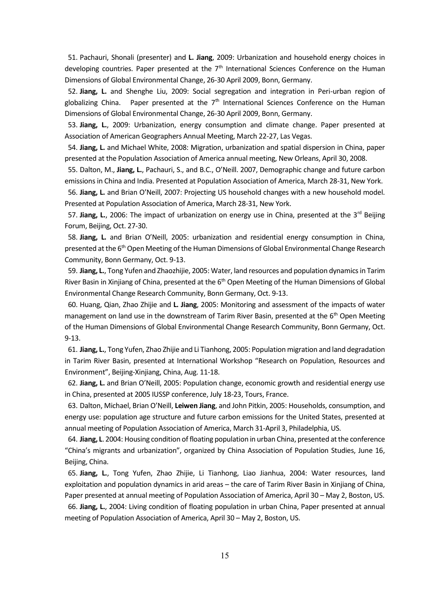51. Pachauri, Shonali (presenter) and **L. Jiang**, 2009: Urbanization and household energy choices in developing countries. Paper presented at the  $7<sup>th</sup>$  International Sciences Conference on the Human Dimensions of Global Environmental Change, 26-30 April 2009, Bonn, Germany.

52. **Jiang, L.** and Shenghe Liu, 2009: Social segregation and integration in Peri-urban region of globalizing China. Paper presented at the  $7<sup>th</sup>$  International Sciences Conference on the Human Dimensions of Global Environmental Change, 26-30 April 2009, Bonn, Germany.

53. **Jiang, L.**, 2009: Urbanization, energy consumption and climate change. Paper presented at Association of American Geographers Annual Meeting, March 22-27, Las Vegas.

54. **Jiang, L.** and Michael White, 2008: Migration, urbanization and spatial dispersion in China, paper presented at the Population Association of America annual meeting, New Orleans, April 30, 2008.

55. Dalton, M., **Jiang, L.**, Pachauri, S., and B.C., O'Neill. 2007, Demographic change and future carbon emissions in China and India. Presented at Population Association of America, March 28-31, New York.

56. **Jiang, L.** and Brian O'Neill, 2007: Projecting US household changes with a new household model. Presented at Population Association of America, March 28-31, New York.

57. **Jiang, L.**, 2006: The impact of urbanization on energy use in China, presented at the 3rd Beijing Forum, Beijing, Oct. 27-30.

58. **Jiang, L.** and Brian O'Neill, 2005: urbanization and residential energy consumption in China, presented at the 6<sup>th</sup> Open Meeting of the Human Dimensions of Global Environmental Change Research Community, Bonn Germany, Oct. 9-13.

59. **Jiang, L.**, Tong Yufen and Zhaozhijie, 2005: Water, land resources and population dynamics in Tarim River Basin in Xinjiang of China, presented at the 6<sup>th</sup> Open Meeting of the Human Dimensions of Global Environmental Change Research Community, Bonn Germany, Oct. 9-13.

60. Huang, Qian, Zhao Zhijie and **L. Jiang**, 2005: Monitoring and assessment of the impacts of water management on land use in the downstream of Tarim River Basin, presented at the  $6<sup>th</sup>$  Open Meeting of the Human Dimensions of Global Environmental Change Research Community, Bonn Germany, Oct. 9-13.

61. **Jiang, L.**, Tong Yufen, Zhao Zhijie and Li Tianhong, 2005: Population migration and land degradation in Tarim River Basin, presented at International Workshop "Research on Population, Resources and Environment", Beijing-Xinjiang, China, Aug. 11-18.

62. **Jiang, L.** and Brian O'Neill, 2005: Population change, economic growth and residential energy use in China, presented at 2005 IUSSP conference, July 18-23, Tours, France.

63. Dalton, Michael, Brian O'Neill, **Leiwen Jiang**, and John Pitkin, 2005: Households, consumption, and energy use: population age structure and future carbon emissions for the United States, presented at annual meeting of Population Association of America, March 31-April 3, Philadelphia, US.

64. **Jiang, L**. 2004: Housing condition of floating population in urban China, presented at the conference "China's migrants and urbanization", organized by China Association of Population Studies, June 16, Beijing, China.

65. **Jiang, L.**, Tong Yufen, Zhao Zhijie, Li Tianhong, Liao Jianhua, 2004: Water resources, land exploitation and population dynamics in arid areas – the care of Tarim River Basin in Xinjiang of China, Paper presented at annual meeting of Population Association of America, April 30 – May 2, Boston, US.

66. **Jiang, L.**, 2004: Living condition of floating population in urban China, Paper presented at annual meeting of Population Association of America, April 30 – May 2, Boston, US.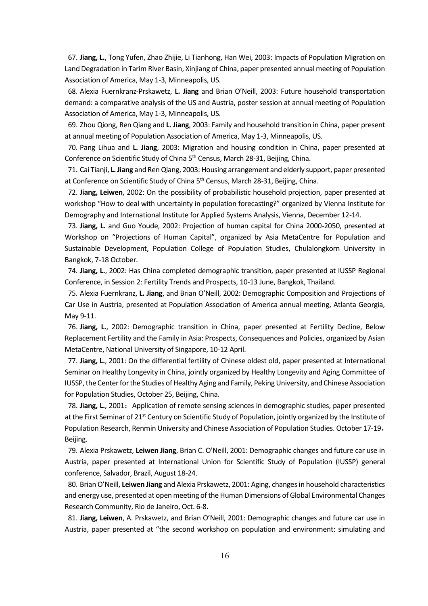67. **Jiang, L.**, Tong Yufen, Zhao Zhijie, Li Tianhong, Han Wei, 2003: Impacts of Population Migration on Land Degradation in Tarim River Basin, Xinjiang of China, paper presented annual meeting of Population Association of America, May 1-3, Minneapolis, US.

68. Alexia Fuernkranz-Prskawetz, **L. Jiang** and Brian O'Neill, 2003: Future household transportation demand: a comparative analysis of the US and Austria, poster session at annual meeting of Population Association of America, May 1-3, Minneapolis, US.

69. Zhou Qiong, Ren Qiang and **L. Jiang**, 2003: Family and household transition in China, paper present at annual meeting of Population Association of America, May 1-3, Minneapolis, US.

70. Pang Lihua and **L. Jiang**, 2003: Migration and housing condition in China, paper presented at Conference on Scientific Study of China 5<sup>th</sup> Census, March 28-31, Beijing, China.

71. Cai Tianji, **L. Jiang** and Ren Qiang, 2003: Housing arrangement and elderly support, paper presented at Conference on Scientific Study of China 5<sup>th</sup> Census, March 28-31, Beijing, China.

72. **Jiang, Leiwen**, 2002: On the possibility of probabilistic household projection, paper presented at workshop "How to deal with uncertainty in population forecasting?" organized by Vienna Institute for Demography and International Institute for Applied Systems Analysis, Vienna, December 12-14.

73. **Jiang, L.** and Guo Youde, 2002: Projection of human capital for China 2000-2050, presented at Workshop on "Projections of Human Capital", organized by Asia MetaCentre for Population and Sustainable Development, Population College of Population Studies, Chulalongkorn University in Bangkok, 7-18 October.

74. **Jiang, L.**, 2002: Has China completed demographic transition, paper presented at IUSSP Regional Conference, in Session 2: Fertility Trends and Prospects, 10-13 June, Bangkok, Thailand.

75. Alexia Fuernkranz, **L. Jiang**, and Brian O'Neill, 2002: Demographic Composition and Projections of Car Use in Austria, presented at Population Association of America annual meeting, Atlanta Georgia, May 9-11.

76. **Jiang, L.**, 2002: Demographic transition in China, paper presented at Fertility Decline, Below Replacement Fertility and the Family in Asia: Prospects, Consequences and Policies, organized by Asian MetaCentre, National University of Singapore, 10-12 April.

77. **Jiang, L.**, 2001: On the differential fertility of Chinese oldest old, paper presented at International Seminar on Healthy Longevity in China, jointly organized by Healthy Longevity and Aging Committee of IUSSP, the Center for the Studies of Healthy Aging and Family, Peking University, and Chinese Association for Population Studies, October 25, Beijing, China.

78. **Jiang, L.**, 2001: Application of remote sensing sciences in demographic studies, paper presented at the First Seminar of 21<sup>st</sup> Century on Scientific Study of Population, jointly organized by the Institute of Population Research, Renmin University and Chinese Association of Population Studies. October 17-19, Beijing.

79. Alexia Prskawetz, **Leiwen Jiang**, Brian C. O'Neill, 2001: Demographic changes and future car use in Austria, paper presented at International Union for Scientific Study of Population (IUSSP) general conference, Salvador, Brazil, August 18-24.

80. Brian O'Neill, **Leiwen Jiang** and Alexia Prskawetz, 2001: Aging, changes in household characteristics and energy use, presented at open meeting of the Human Dimensions of Global Environmental Changes Research Community, Rio de Janeiro, Oct. 6-8.

81. **Jiang, Leiwen**, A. Prskawetz, and Brian O'Neill, 2001: Demographic changes and future car use in Austria, paper presented at "the second workshop on population and environment: simulating and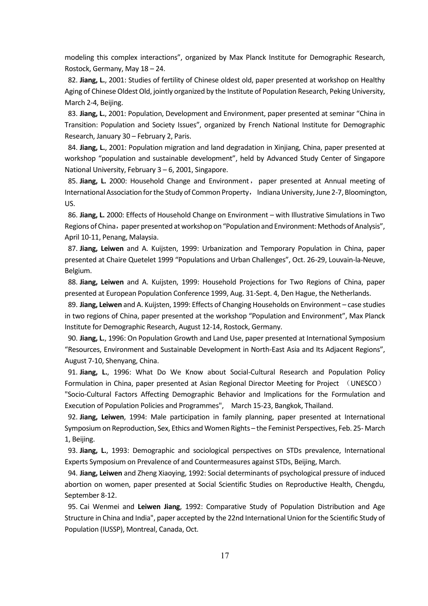modeling this complex interactions", organized by Max Planck Institute for Demographic Research, Rostock, Germany, May 18 – 24.

82. **Jiang, L.**, 2001: Studies of fertility of Chinese oldest old, paper presented at workshop on Healthy Aging of Chinese Oldest Old, jointly organized by the Institute of Population Research, Peking University, March 2-4, Beijing.

83. **Jiang, L.**, 2001: Population, Development and Environment, paper presented at seminar "China in Transition: Population and Society Issues", organized by French National Institute for Demographic Research, January 30 – February 2, Paris.

84. **Jiang, L.**, 2001: Population migration and land degradation in Xinjiang, China, paper presented at workshop "population and sustainable development", held by Advanced Study Center of Singapore National University, February 3 – 6, 2001, Singapore.

85. **Jiang, L.** 2000: Household Change and Environment, paper presented at Annual meeting of International Association for the Study of Common Property, Indiana University, June 2-7, Bloomington, US.

86. **Jiang, L.** 2000: Effects of Household Change on Environment – with Illustrative Simulations in Two Regions of China, paper presented at workshop on "Population and Environment: Methods of Analysis", April 10-11, Penang, Malaysia.

87. **Jiang, Leiwen** and A. Kuijsten, 1999: Urbanization and Temporary Population in China, paper presented at Chaire Quetelet 1999 "Populations and Urban Challenges", Oct. 26-29, Louvain-la-Neuve, Belgium.

88. **Jiang, Leiwen** and A. Kuijsten, 1999: Household Projections for Two Regions of China, paper presented at European Population Conference 1999, Aug. 31-Sept. 4, Den Hague, the Netherlands.

89. **Jiang, Leiwen** and A. Kuijsten, 1999: Effects of Changing Households on Environment – case studies in two regions of China, paper presented at the workshop "Population and Environment", Max Planck Institute for Demographic Research, August 12-14, Rostock, Germany.

90. **Jiang, L.**, 1996: On Population Growth and Land Use, paper presented at International Symposium "Resources, Environment and Sustainable Development in North-East Asia and Its Adjacent Regions", August 7-10, Shenyang, China.

91. **Jiang, L.**, 1996: What Do We Know about Social-Cultural Research and Population Policy Formulation in China, paper presented at Asian Regional Director Meeting for Project (UNESCO)

"Socio-Cultural Factors Affecting Demographic Behavior and Implications for the Formulation and Execution of Population Policies and Programmes", March 15-23, Bangkok, Thailand.

92. **Jiang, Leiwen**, 1994: Male participation in family planning, paper presented at International Symposium on Reproduction, Sex, Ethics and Women Rights – the Feminist Perspectives, Feb. 25- March 1, Beijing.

93. **Jiang, L.**, 1993: Demographic and sociological perspectives on STDs prevalence, International Experts Symposium on Prevalence of and Countermeasures against STDs, Beijing, March.

94. **Jiang, Leiwen** and Zheng Xiaoying, 1992: Social determinants of psychological pressure of induced abortion on women, paper presented at Social Scientific Studies on Reproductive Health, Chengdu, September 8-12.

95. Cai Wenmei and **Leiwen Jiang**, 1992: Comparative Study of Population Distribution and Age Structure in China and India", paper accepted by the 22nd International Union for the Scientific Study of Population (IUSSP), Montreal, Canada, Oct.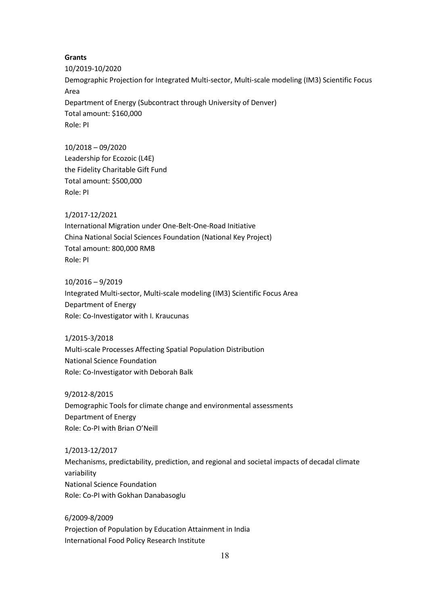### **Grants**

10/2019-10/2020 Demographic Projection for Integrated Multi-sector, Multi-scale modeling (IM3) Scientific Focus Area Department of Energy (Subcontract through University of Denver) Total amount: \$160,000 Role: PI

10/2018 – 09/2020 Leadership for Ecozoic (L4E) the Fidelity Charitable Gift Fund Total amount: \$500,000 Role: PI

### 1/2017-12/2021

International Migration under One-Belt-One-Road Initiative China National Social Sciences Foundation (National Key Project) Total amount: 800,000 RMB Role: PI

10/2016 – 9/2019 Integrated Multi-sector, Multi-scale modeling (IM3) Scientific Focus Area Department of Energy Role: Co-Investigator with I. Kraucunas

1/2015-3/2018 Multi-scale Processes Affecting Spatial Population Distribution National Science Foundation Role: Co-Investigator with Deborah Balk

9/2012-8/2015 Demographic Tools for climate change and environmental assessments Department of Energy Role: Co-PI with Brian O'Neill

1/2013-12/2017 Mechanisms, predictability, prediction, and regional and societal impacts of decadal climate variability National Science Foundation Role: Co-PI with Gokhan Danabasoglu

6/2009-8/2009 Projection of Population by Education Attainment in India International Food Policy Research Institute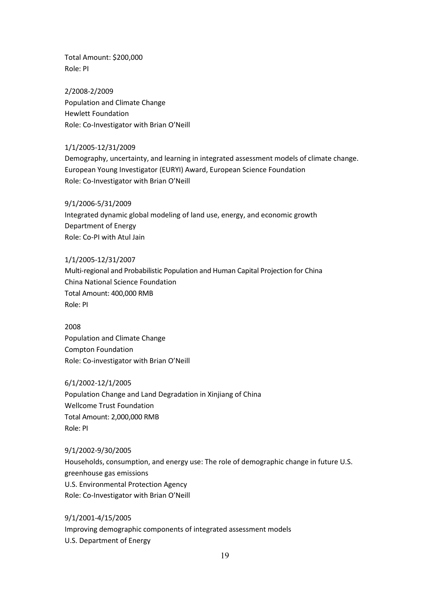Total Amount: \$200,000 Role: PI

2/2008-2/2009 Population and Climate Change Hewlett Foundation Role: Co-Investigator with Brian O'Neill

1/1/2005-12/31/2009 Demography, uncertainty, and learning in integrated assessment models of climate change. European Young Investigator (EURYI) Award, European Science Foundation Role: Co-Investigator with Brian O'Neill

9/1/2006-5/31/2009 Integrated dynamic global modeling of land use, energy, and economic growth Department of Energy Role: Co-PI with Atul Jain

1/1/2005-12/31/2007 Multi-regional and Probabilistic Population and Human Capital Projection for China China National Science Foundation Total Amount: 400,000 RMB Role: PI

2008 Population and Climate Change Compton Foundation Role: Co-investigator with Brian O'Neill

6/1/2002-12/1/2005 Population Change and Land Degradation in Xinjiang of China Wellcome Trust Foundation Total Amount: 2,000,000 RMB Role: PI

9/1/2002-9/30/2005 Households, consumption, and energy use: The role of demographic change in future U.S. greenhouse gas emissions U.S. Environmental Protection Agency Role: Co-Investigator with Brian O'Neill

9/1/2001-4/15/2005 Improving demographic components of integrated assessment models U.S. Department of Energy